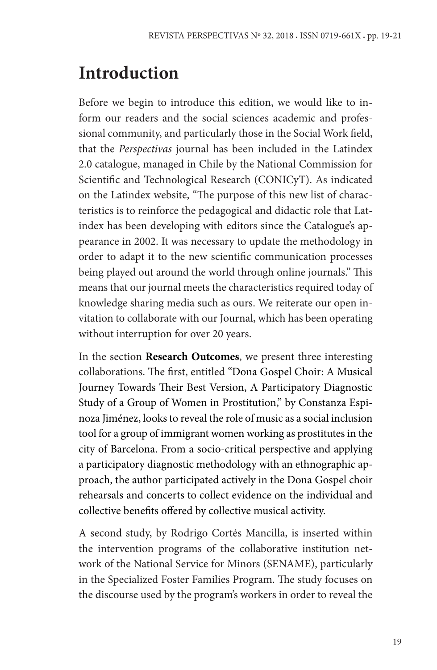## **Introduction**

Before we begin to introduce this edition, we would like to inform our readers and the social sciences academic and professional community, and particularly those in the Social Work field, that the *Perspectivas* journal has been included in the Latindex 2.0 catalogue, managed in Chile by the National Commission for Scientific and Technological Research (CONICyT). As indicated on the Latindex website, "The purpose of this new list of characteristics is to reinforce the pedagogical and didactic role that Latindex has been developing with editors since the Catalogue's appearance in 2002. It was necessary to update the methodology in order to adapt it to the new scientific communication processes being played out around the world through online journals." This means that our journal meets the characteristics required today of knowledge sharing media such as ours. We reiterate our open invitation to collaborate with our Journal, which has been operating without interruption for over 20 years.

In the section **Research Outcomes**, we present three interesting collaborations. The first, entitled "Dona Gospel Choir: A Musical Journey Towards Their Best Version, A Participatory Diagnostic Study of a Group of Women in Prostitution," by Constanza Espinoza Jiménez, looks to reveal the role of music as a social inclusion tool for a group of immigrant women working as prostitutes in the city of Barcelona. From a socio-critical perspective and applying a participatory diagnostic methodology with an ethnographic approach, the author participated actively in the Dona Gospel choir rehearsals and concerts to collect evidence on the individual and collective benefits offered by collective musical activity.

A second study, by Rodrigo Cortés Mancilla, is inserted within the intervention programs of the collaborative institution network of the National Service for Minors (SENAME), particularly in the Specialized Foster Families Program. The study focuses on the discourse used by the program's workers in order to reveal the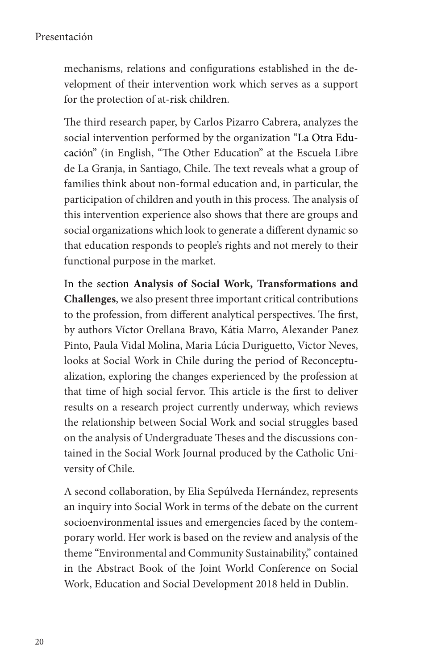## Presentación

mechanisms, relations and configurations established in the development of their intervention work which serves as a support for the protection of at-risk children.

The third research paper, by Carlos Pizarro Cabrera, analyzes the social intervention performed by the organization "La Otra Educación" (in English, "The Other Education" at the Escuela Libre de La Granja, in Santiago, Chile. The text reveals what a group of families think about non-formal education and, in particular, the participation of children and youth in this process. The analysis of this intervention experience also shows that there are groups and social organizations which look to generate a different dynamic so that education responds to people's rights and not merely to their functional purpose in the market.

In the section **Analysis of Social Work, Transformations and Challenges**, we also present three important critical contributions to the profession, from different analytical perspectives. The first, by authors Víctor Orellana Bravo, Kátia Marro, Alexander Panez Pinto, Paula Vidal Molina, Maria Lúcia Duriguetto, Victor Neves, looks at Social Work in Chile during the period of Reconceptualization, exploring the changes experienced by the profession at that time of high social fervor. This article is the first to deliver results on a research project currently underway, which reviews the relationship between Social Work and social struggles based on the analysis of Undergraduate Theses and the discussions contained in the Social Work Journal produced by the Catholic University of Chile.

A second collaboration, by Elia Sepúlveda Hernández, represents an inquiry into Social Work in terms of the debate on the current socioenvironmental issues and emergencies faced by the contemporary world. Her work is based on the review and analysis of the theme "Environmental and Community Sustainability," contained in the Abstract Book of the Joint World Conference on Social Work, Education and Social Development 2018 held in Dublin.